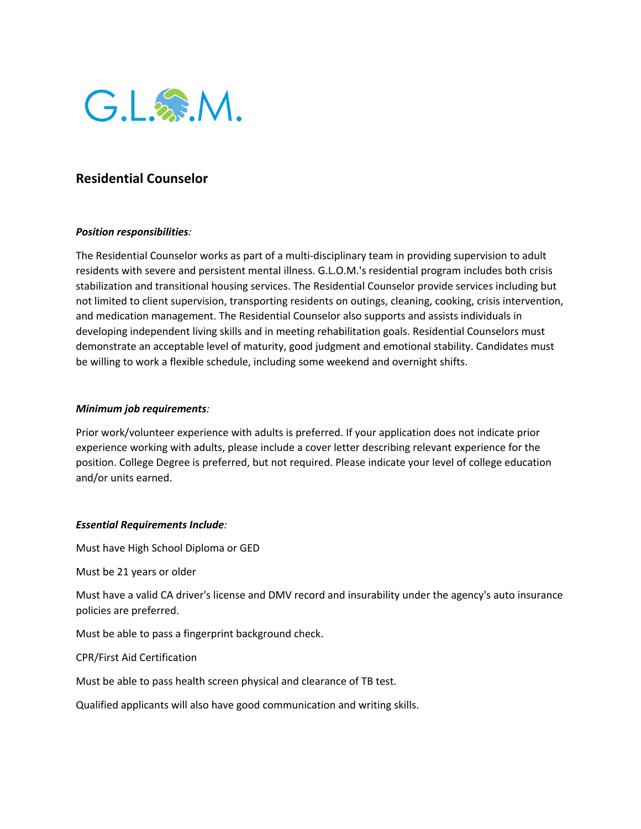

## **Residential Counselor**

## *Position responsibilities:*

The Residential Counselor works as part of a multi-disciplinary team in providing supervision to adult residents with severe and persistent mental illness. G.L.O.M.'s residential program includes both crisis stabilization and transitional housing services. The Residential Counselor provide services including but not limited to client supervision, transporting residents on outings, cleaning, cooking, crisis intervention, and medication management. The Residential Counselor also supports and assists individuals in developing independent living skills and in meeting rehabilitation goals. Residential Counselors must demonstrate an acceptable level of maturity, good judgment and emotional stability. Candidates must be willing to work a flexible schedule, including some weekend and overnight shifts.

## *Minimum job requirements:*

Prior work/volunteer experience with adults is preferred. If your application does not indicate prior experience working with adults, please include a cover letter describing relevant experience for the position. College Degree is preferred, but not required. Please indicate your level of college education and/or units earned.

## *Essential Requirements Include:*

Must have High School Diploma or GED

Must be 21 years or older

Must have a valid CA driver's license and DMV record and insurability under the agency's auto insurance policies are preferred.

Must be able to pass a fingerprint background check.

CPR/First Aid Certification

Must be able to pass health screen physical and clearance of TB test.

Qualified applicants will also have good communication and writing skills.